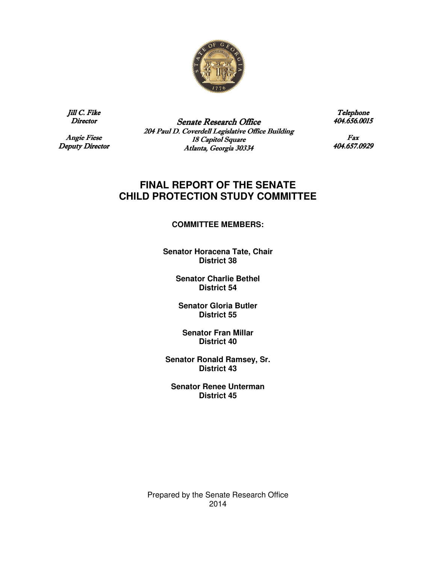

Jill C. Fike Director

**Angie Fiese** Deputy Director

Senate Research Office 204 Paul D. Coverdell Legislative Office Building 18 Capitol Square Atlanta, Georgia 30334

Telephone 404.656.0015 404.656.0015

Fax 404.657.0929

# **FINAL REPORT OF THE SENATE CHILD PROTECTION STUDY COMMITTEE**

### **COMMITTEE MEMBERS:**

**Senator Horacena Tate, Chair District 38** 

> **Senator Charlie Bethel District 54**

**Senator Gloria Butler District 55** 

**Senator Fran Millar District 40** 

**Senator Ronald Ramsey, Sr. District 43** 

**Senator Renee Unterman District 45**

Prepared by the Senate Research Office 2014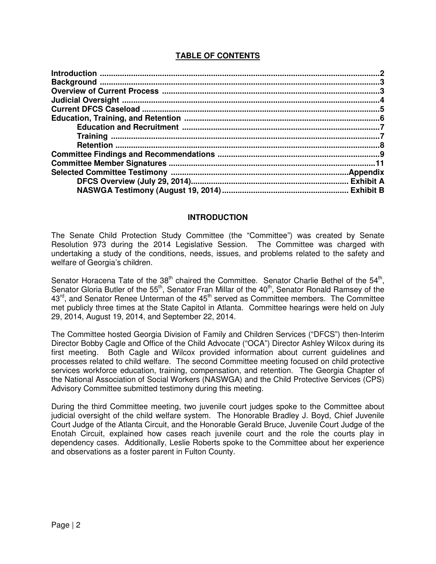# **TABLE OF CONTENTS**

### **INTRODUCTION**

The Senate Child Protection Study Committee (the "Committee") was created by Senate Resolution 973 during the 2014 Legislative Session. The Committee was charged with undertaking a study of the conditions, needs, issues, and problems related to the safety and welfare of Georgia's children.

Senator Horacena Tate of the  $38<sup>th</sup>$  chaired the Committee. Senator Charlie Bethel of the  $54<sup>th</sup>$ , Senator Gloria Butler of the 55<sup>th</sup>, Senator Fran Millar of the 40<sup>th</sup>, Senator Ronald Ramsey of the  $43<sup>rd</sup>$ , and Senator Renee Unterman of the  $45<sup>th</sup>$  served as Committee members. The Committee met publicly three times at the State Capitol in Atlanta. Committee hearings were held on July 29, 2014, August 19, 2014, and September 22, 2014.

The Committee hosted Georgia Division of Family and Children Services ("DFCS") then-Interim Director Bobby Cagle and Office of the Child Advocate ("OCA") Director Ashley Wilcox during its first meeting. Both Cagle and Wilcox provided information about current guidelines and processes related to child welfare. The second Committee meeting focused on child protective services workforce education, training, compensation, and retention. The Georgia Chapter of the National Association of Social Workers (NASWGA) and the Child Protective Services (CPS) Advisory Committee submitted testimony during this meeting.

During the third Committee meeting, two juvenile court judges spoke to the Committee about judicial oversight of the child welfare system. The Honorable Bradley J. Boyd, Chief Juvenile Court Judge of the Atlanta Circuit, and the Honorable Gerald Bruce, Juvenile Court Judge of the Enotah Circuit, explained how cases reach juvenile court and the role the courts play in dependency cases. Additionally, Leslie Roberts spoke to the Committee about her experience and observations as a foster parent in Fulton County.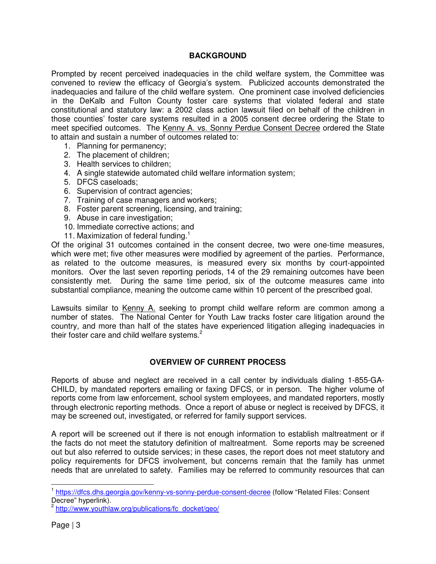# **BACKGROUND**

Prompted by recent perceived inadequacies in the child welfare system, the Committee was convened to review the efficacy of Georgia's system. Publicized accounts demonstrated the inadequacies and failure of the child welfare system. One prominent case involved deficiencies in the DeKalb and Fulton County foster care systems that violated federal and state constitutional and statutory law: a 2002 class action lawsuit filed on behalf of the children in those counties' foster care systems resulted in a 2005 consent decree ordering the State to meet specified outcomes. The Kenny A. vs. Sonny Perdue Consent Decree ordered the State to attain and sustain a number of outcomes related to:

- 1. Planning for permanency;
- 2. The placement of children;
- 3. Health services to children;
- 4. A single statewide automated child welfare information system;
- 5. DFCS caseloads;
- 6. Supervision of contract agencies;
- 7. Training of case managers and workers;
- 8. Foster parent screening, licensing, and training;
- 9. Abuse in care investigation;
- 10. Immediate corrective actions; and
- 11. Maximization of federal funding.<sup>1</sup>

Of the original 31 outcomes contained in the consent decree, two were one-time measures, which were met; five other measures were modified by agreement of the parties. Performance, as related to the outcome measures, is measured every six months by court-appointed monitors. Over the last seven reporting periods, 14 of the 29 remaining outcomes have been consistently met. During the same time period, six of the outcome measures came into substantial compliance, meaning the outcome came within 10 percent of the prescribed goal.

Lawsuits similar to Kenny A. seeking to prompt child welfare reform are common among a number of states. The National Center for Youth Law tracks foster care litigation around the country, and more than half of the states have experienced litigation alleging inadequacies in their foster care and child welfare systems.<sup>2</sup>

## **OVERVIEW OF CURRENT PROCESS**

Reports of abuse and neglect are received in a call center by individuals dialing 1-855-GA-CHILD, by mandated reporters emailing or faxing DFCS, or in person. The higher volume of reports come from law enforcement, school system employees, and mandated reporters, mostly through electronic reporting methods. Once a report of abuse or neglect is received by DFCS, it may be screened out, investigated, or referred for family support services.

A report will be screened out if there is not enough information to establish maltreatment or if the facts do not meet the statutory definition of maltreatment. Some reports may be screened out but also referred to outside services; in these cases, the report does not meet statutory and policy requirements for DFCS involvement, but concerns remain that the family has unmet needs that are unrelated to safety. Families may be referred to community resources that can

j

<sup>&</sup>lt;sup>1</sup> https://dfcs.dhs.georgia.gov/kenny-vs-sonny-perdue-consent-decree (follow "Related Files: Consent Decree" hyperlink).<br><sup>2</sup> http://www.voutblo

http://www.youthlaw.org/publications/fc\_docket/geo/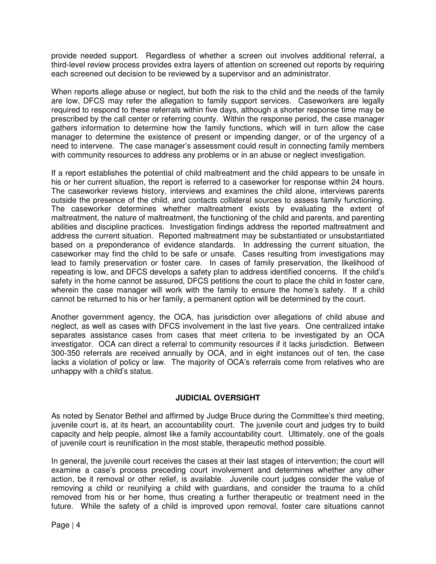provide needed support. Regardless of whether a screen out involves additional referral, a third-level review process provides extra layers of attention on screened out reports by requiring each screened out decision to be reviewed by a supervisor and an administrator.

When reports allege abuse or neglect, but both the risk to the child and the needs of the family are low, DFCS may refer the allegation to family support services. Caseworkers are legally required to respond to these referrals within five days, although a shorter response time may be prescribed by the call center or referring county. Within the response period, the case manager gathers information to determine how the family functions, which will in turn allow the case manager to determine the existence of present or impending danger, or of the urgency of a need to intervene. The case manager's assessment could result in connecting family members with community resources to address any problems or in an abuse or neglect investigation.

If a report establishes the potential of child maltreatment and the child appears to be unsafe in his or her current situation, the report is referred to a caseworker for response within 24 hours. The caseworker reviews history, interviews and examines the child alone, interviews parents outside the presence of the child, and contacts collateral sources to assess family functioning. The caseworker determines whether maltreatment exists by evaluating the extent of maltreatment, the nature of maltreatment, the functioning of the child and parents, and parenting abilities and discipline practices. Investigation findings address the reported maltreatment and address the current situation. Reported maltreatment may be substantiated or unsubstantiated based on a preponderance of evidence standards. In addressing the current situation, the caseworker may find the child to be safe or unsafe. Cases resulting from investigations may lead to family preservation or foster care. In cases of family preservation, the likelihood of repeating is low, and DFCS develops a safety plan to address identified concerns. If the child's safety in the home cannot be assured, DFCS petitions the court to place the child in foster care, wherein the case manager will work with the family to ensure the home's safety. If a child cannot be returned to his or her family, a permanent option will be determined by the court.

Another government agency, the OCA, has jurisdiction over allegations of child abuse and neglect, as well as cases with DFCS involvement in the last five years. One centralized intake separates assistance cases from cases that meet criteria to be investigated by an OCA investigator. OCA can direct a referral to community resources if it lacks jurisdiction. Between 300-350 referrals are received annually by OCA, and in eight instances out of ten, the case lacks a violation of policy or law. The majority of OCA's referrals come from relatives who are unhappy with a child's status.

# **JUDICIAL OVERSIGHT**

As noted by Senator Bethel and affirmed by Judge Bruce during the Committee's third meeting, juvenile court is, at its heart, an accountability court. The juvenile court and judges try to build capacity and help people, almost like a family accountability court. Ultimately, one of the goals of juvenile court is reunification in the most stable, therapeutic method possible.

In general, the juvenile court receives the cases at their last stages of intervention; the court will examine a case's process preceding court involvement and determines whether any other action, be it removal or other relief, is available. Juvenile court judges consider the value of removing a child or reunifying a child with guardians, and consider the trauma to a child removed from his or her home, thus creating a further therapeutic or treatment need in the future. While the safety of a child is improved upon removal, foster care situations cannot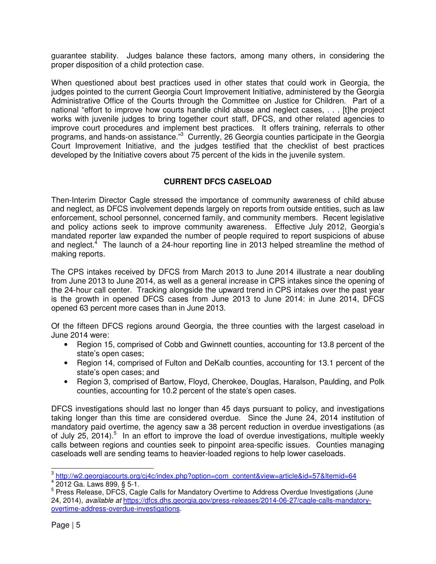guarantee stability. Judges balance these factors, among many others, in considering the proper disposition of a child protection case.

When questioned about best practices used in other states that could work in Georgia, the judges pointed to the current Georgia Court Improvement Initiative, administered by the Georgia Administrative Office of the Courts through the Committee on Justice for Children. Part of a national "effort to improve how courts handle child abuse and neglect cases, . . . [t]he project works with juvenile judges to bring together court staff, DFCS, and other related agencies to improve court procedures and implement best practices. It offers training, referrals to other programs, and hands-on assistance."<sup>3</sup> Currently, 26 Georgia counties participate in the Georgia Court Improvement Initiative, and the judges testified that the checklist of best practices developed by the Initiative covers about 75 percent of the kids in the juvenile system.

# **CURRENT DFCS CASELOAD**

Then-Interim Director Cagle stressed the importance of community awareness of child abuse and neglect, as DFCS involvement depends largely on reports from outside entities, such as law enforcement, school personnel, concerned family, and community members. Recent legislative and policy actions seek to improve community awareness. Effective July 2012, Georgia's mandated reporter law expanded the number of people required to report suspicions of abuse and neglect.<sup>4</sup> The launch of a 24-hour reporting line in 2013 helped streamline the method of making reports.

The CPS intakes received by DFCS from March 2013 to June 2014 illustrate a near doubling from June 2013 to June 2014, as well as a general increase in CPS intakes since the opening of the 24-hour call center. Tracking alongside the upward trend in CPS intakes over the past year is the growth in opened DFCS cases from June 2013 to June 2014: in June 2014, DFCS opened 63 percent more cases than in June 2013.

Of the fifteen DFCS regions around Georgia, the three counties with the largest caseload in June 2014 were:

- Region 15, comprised of Cobb and Gwinnett counties, accounting for 13.8 percent of the state's open cases;
- Region 14, comprised of Fulton and DeKalb counties, accounting for 13.1 percent of the state's open cases; and
- Region 3, comprised of Bartow, Floyd, Cherokee, Douglas, Haralson, Paulding, and Polk counties, accounting for 10.2 percent of the state's open cases.

DFCS investigations should last no longer than 45 days pursuant to policy, and investigations taking longer than this time are considered overdue. Since the June 24, 2014 institution of mandatory paid overtime, the agency saw a 38 percent reduction in overdue investigations (as of July 25, 2014).<sup>5</sup> In an effort to improve the load of overdue investigations, multiple weekly calls between regions and counties seek to pinpoint area-specific issues. Counties managing caseloads well are sending teams to heavier-loaded regions to help lower caseloads.

<sup>&</sup>lt;sup>3</sup> http://w2.georgiacourts.org/cj4c/index.php?option=com\_content&view=article&id=57&Itemid=64

<sup>4</sup> 2012 Ga. Laws 899, § 5-1.

<sup>&</sup>lt;sup>5</sup> Press Release, DFCS, Cagle Calls for Mandatory Overtime to Address Overdue Investigations (June 24, 2014), available at https://dfcs.dhs.georgia.gov/press-releases/2014-06-27/cagle-calls-mandatoryovertime-address-overdue-investigations.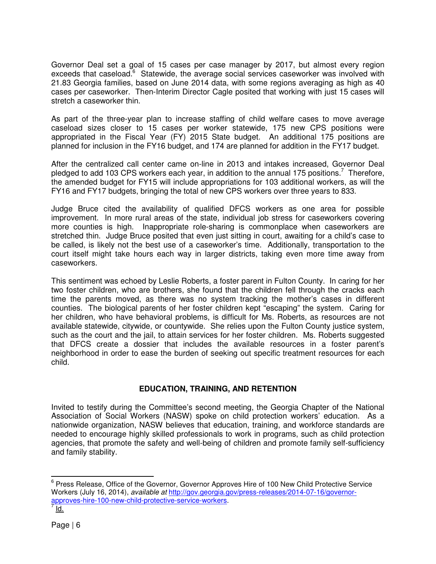Governor Deal set a goal of 15 cases per case manager by 2017, but almost every region exceeds that caseload.<sup>6</sup> Statewide, the average social services caseworker was involved with 21.83 Georgia families, based on June 2014 data, with some regions averaging as high as 40 cases per caseworker. Then-Interim Director Cagle posited that working with just 15 cases will stretch a caseworker thin.

As part of the three-year plan to increase staffing of child welfare cases to move average caseload sizes closer to 15 cases per worker statewide, 175 new CPS positions were appropriated in the Fiscal Year (FY) 2015 State budget. An additional 175 positions are planned for inclusion in the FY16 budget, and 174 are planned for addition in the FY17 budget.

After the centralized call center came on-line in 2013 and intakes increased, Governor Deal pledged to add 103 CPS workers each year, in addition to the annual 175 positions.<sup>7</sup> Therefore, the amended budget for FY15 will include appropriations for 103 additional workers, as will the FY16 and FY17 budgets, bringing the total of new CPS workers over three years to 833.

Judge Bruce cited the availability of qualified DFCS workers as one area for possible improvement. In more rural areas of the state, individual job stress for caseworkers covering more counties is high. Inappropriate role-sharing is commonplace when caseworkers are stretched thin. Judge Bruce posited that even just sitting in court, awaiting for a child's case to be called, is likely not the best use of a caseworker's time. Additionally, transportation to the court itself might take hours each way in larger districts, taking even more time away from caseworkers.

This sentiment was echoed by Leslie Roberts, a foster parent in Fulton County. In caring for her two foster children, who are brothers, she found that the children fell through the cracks each time the parents moved, as there was no system tracking the mother's cases in different counties. The biological parents of her foster children kept "escaping" the system. Caring for her children, who have behavioral problems, is difficult for Ms. Roberts, as resources are not available statewide, citywide, or countywide. She relies upon the Fulton County justice system, such as the court and the jail, to attain services for her foster children. Ms. Roberts suggested that DFCS create a dossier that includes the available resources in a foster parent's neighborhood in order to ease the burden of seeking out specific treatment resources for each child.

# **EDUCATION, TRAINING, AND RETENTION**

Invited to testify during the Committee's second meeting, the Georgia Chapter of the National Association of Social Workers (NASW) spoke on child protection workers' education. As a nationwide organization, NASW believes that education, training, and workforce standards are needed to encourage highly skilled professionals to work in programs, such as child protection agencies, that promote the safety and well-being of children and promote family self-sufficiency and family stability.

<sup>&</sup>lt;u>ence</u><br><sup>6</sup> Press Release, Office of the Governor, Governor Approves Hire of 100 New Child Protective Service Workers (July 16, 2014), available at http://gov.georgia.gov/press-releases/2014-07-16/governorapproves-hire-100-new-child-protective-service-workers.<br>7 Id

Id.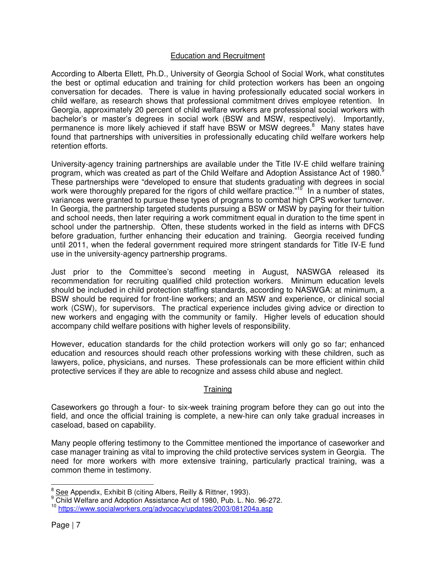## Education and Recruitment

According to Alberta Ellett, Ph.D., University of Georgia School of Social Work, what constitutes the best or optimal education and training for child protection workers has been an ongoing conversation for decades. There is value in having professionally educated social workers in child welfare, as research shows that professional commitment drives employee retention. In Georgia, approximately 20 percent of child welfare workers are professional social workers with bachelor's or master's degrees in social work (BSW and MSW, respectively). Importantly, permanence is more likely achieved if staff have BSW or MSW degrees.<sup>8</sup> Many states have found that partnerships with universities in professionally educating child welfare workers help retention efforts.

University-agency training partnerships are available under the Title IV-E child welfare training program, which was created as part of the Child Welfare and Adoption Assistance Act of 1980.<sup>8</sup> These partnerships were "developed to ensure that students graduating with degrees in social work were thoroughly prepared for the rigors of child welfare practice."<sup>10</sup> In a number of states, variances were granted to pursue these types of programs to combat high CPS worker turnover. In Georgia, the partnership targeted students pursuing a BSW or MSW by paying for their tuition and school needs, then later requiring a work commitment equal in duration to the time spent in school under the partnership. Often, these students worked in the field as interns with DFCS before graduation, further enhancing their education and training. Georgia received funding until 2011, when the federal government required more stringent standards for Title IV-E fund use in the university-agency partnership programs.

Just prior to the Committee's second meeting in August, NASWGA released its recommendation for recruiting qualified child protection workers. Minimum education levels should be included in child protection staffing standards, according to NASWGA: at minimum, a BSW should be required for front-line workers; and an MSW and experience, or clinical social work (CSW), for supervisors. The practical experience includes giving advice or direction to new workers and engaging with the community or family. Higher levels of education should accompany child welfare positions with higher levels of responsibility.

However, education standards for the child protection workers will only go so far; enhanced education and resources should reach other professions working with these children, such as lawyers, police, physicians, and nurses. These professionals can be more efficient within child protective services if they are able to recognize and assess child abuse and neglect.

### Training

Caseworkers go through a four- to six-week training program before they can go out into the field, and once the official training is complete, a new-hire can only take gradual increases in caseload, based on capability.

Many people offering testimony to the Committee mentioned the importance of caseworker and case manager training as vital to improving the child protective services system in Georgia. The need for more workers with more extensive training, particularly practical training, was a common theme in testimony.

<sup>&</sup>lt;u>es</u><br><sup>8</sup> See Appendix, Exhibit B (citing Albers, Reilly & Rittner, 1993).

<sup>&</sup>lt;sup>9</sup> Child Welfare and Adoption Assistance Act of 1980, Pub. L. No. 96-272.

<sup>&</sup>lt;sup>10</sup> https://www.socialworkers.org/advocacy/updates/2003/081204a.asp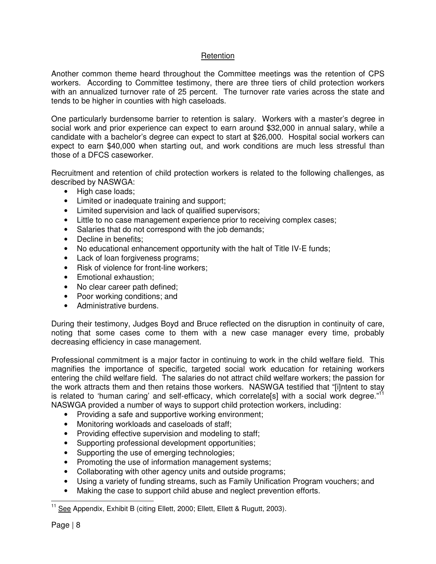# Retention

Another common theme heard throughout the Committee meetings was the retention of CPS workers. According to Committee testimony, there are three tiers of child protection workers with an annualized turnover rate of 25 percent. The turnover rate varies across the state and tends to be higher in counties with high caseloads.

One particularly burdensome barrier to retention is salary. Workers with a master's degree in social work and prior experience can expect to earn around \$32,000 in annual salary, while a candidate with a bachelor's degree can expect to start at \$26,000. Hospital social workers can expect to earn \$40,000 when starting out, and work conditions are much less stressful than those of a DFCS caseworker.

Recruitment and retention of child protection workers is related to the following challenges, as described by NASWGA:

- High case loads;
- Limited or inadequate training and support;
- Limited supervision and lack of qualified supervisors;
- Little to no case management experience prior to receiving complex cases;
- Salaries that do not correspond with the job demands;
- Decline in benefits:
- No educational enhancement opportunity with the halt of Title IV-E funds;
- Lack of loan forgiveness programs;
- Risk of violence for front-line workers:
- Emotional exhaustion;
- No clear career path defined;
- Poor working conditions; and
- Administrative burdens.

During their testimony, Judges Boyd and Bruce reflected on the disruption in continuity of care, noting that some cases come to them with a new case manager every time, probably decreasing efficiency in case management.

Professional commitment is a major factor in continuing to work in the child welfare field. This magnifies the importance of specific, targeted social work education for retaining workers entering the child welfare field. The salaries do not attract child welfare workers; the passion for the work attracts them and then retains those workers. NASWGA testified that "[i]ntent to stay is related to 'human caring' and self-efficacy, which correlate[s] with a social work degree."<sup>11</sup> NASWGA provided a number of ways to support child protection workers, including:

- Providing a safe and supportive working environment;
- Monitoring workloads and caseloads of staff;
- Providing effective supervision and modeling to staff;
- Supporting professional development opportunities;
- Supporting the use of emerging technologies;
- Promoting the use of information management systems;
- Collaborating with other agency units and outside programs;
- Using a variety of funding streams, such as Family Unification Program vouchers; and
- Making the case to support child abuse and neglect prevention efforts.

 $\overline{a}$ <sup>11</sup> See Appendix, Exhibit B (citing Ellett, 2000; Ellett, Ellett & Rugutt, 2003).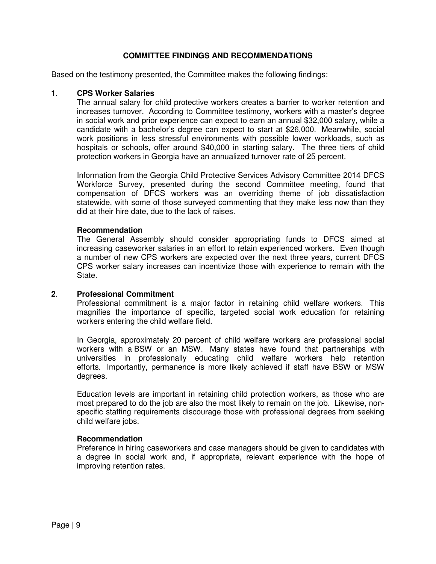### **COMMITTEE FINDINGS AND RECOMMENDATIONS**

Based on the testimony presented, the Committee makes the following findings:

#### **1**. **CPS Worker Salaries**

The annual salary for child protective workers creates a barrier to worker retention and increases turnover. According to Committee testimony, workers with a master's degree in social work and prior experience can expect to earn an annual \$32,000 salary, while a candidate with a bachelor's degree can expect to start at \$26,000. Meanwhile, social work positions in less stressful environments with possible lower workloads, such as hospitals or schools, offer around \$40,000 in starting salary. The three tiers of child protection workers in Georgia have an annualized turnover rate of 25 percent.

Information from the Georgia Child Protective Services Advisory Committee 2014 DFCS Workforce Survey, presented during the second Committee meeting, found that compensation of DFCS workers was an overriding theme of job dissatisfaction statewide, with some of those surveyed commenting that they make less now than they did at their hire date, due to the lack of raises.

#### **Recommendation**

The General Assembly should consider appropriating funds to DFCS aimed at increasing caseworker salaries in an effort to retain experienced workers. Even though a number of new CPS workers are expected over the next three years, current DFCS CPS worker salary increases can incentivize those with experience to remain with the State.

#### **2**. **Professional Commitment**

Professional commitment is a major factor in retaining child welfare workers. This magnifies the importance of specific, targeted social work education for retaining workers entering the child welfare field.

In Georgia, approximately 20 percent of child welfare workers are professional social workers with a BSW or an MSW. Many states have found that partnerships with universities in professionally educating child welfare workers help retention efforts. Importantly, permanence is more likely achieved if staff have BSW or MSW degrees.

Education levels are important in retaining child protection workers, as those who are most prepared to do the job are also the most likely to remain on the job. Likewise, nonspecific staffing requirements discourage those with professional degrees from seeking child welfare jobs.

#### **Recommendation**

Preference in hiring caseworkers and case managers should be given to candidates with a degree in social work and, if appropriate, relevant experience with the hope of improving retention rates.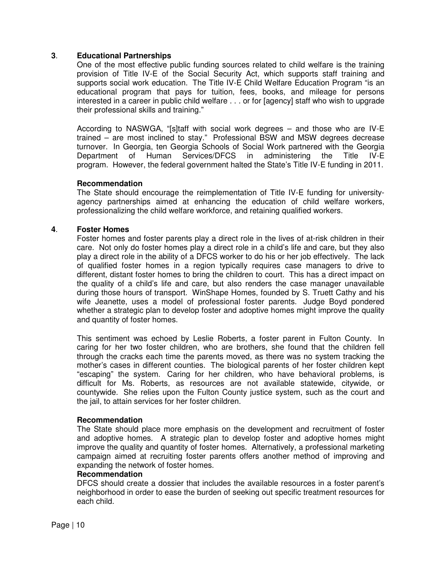#### **3**. **Educational Partnerships**

One of the most effective public funding sources related to child welfare is the training provision of Title IV-E of the Social Security Act, which supports staff training and supports social work education. The Title IV-E Child Welfare Education Program "is an educational program that pays for tuition, fees, books, and mileage for persons interested in a career in public child welfare . . . or for [agency] staff who wish to upgrade their professional skills and training."

According to NASWGA, "[s]taff with social work degrees – and those who are IV-E trained – are most inclined to stay." Professional BSW and MSW degrees decrease turnover. In Georgia, ten Georgia Schools of Social Work partnered with the Georgia Department of Human Services/DFCS in administering the Title IV-E program. However, the federal government halted the State's Title IV-E funding in 2011.

#### **Recommendation**

The State should encourage the reimplementation of Title IV-E funding for universityagency partnerships aimed at enhancing the education of child welfare workers, professionalizing the child welfare workforce, and retaining qualified workers.

#### **4**. **Foster Homes**

Foster homes and foster parents play a direct role in the lives of at-risk children in their care. Not only do foster homes play a direct role in a child's life and care, but they also play a direct role in the ability of a DFCS worker to do his or her job effectively. The lack of qualified foster homes in a region typically requires case managers to drive to different, distant foster homes to bring the children to court. This has a direct impact on the quality of a child's life and care, but also renders the case manager unavailable during those hours of transport. WinShape Homes, founded by S. Truett Cathy and his wife Jeanette, uses a model of professional foster parents. Judge Boyd pondered whether a strategic plan to develop foster and adoptive homes might improve the quality and quantity of foster homes.

This sentiment was echoed by Leslie Roberts, a foster parent in Fulton County. In caring for her two foster children, who are brothers, she found that the children fell through the cracks each time the parents moved, as there was no system tracking the mother's cases in different counties. The biological parents of her foster children kept "escaping" the system. Caring for her children, who have behavioral problems, is difficult for Ms. Roberts, as resources are not available statewide, citywide, or countywide. She relies upon the Fulton County justice system, such as the court and the jail, to attain services for her foster children.

#### **Recommendation**

The State should place more emphasis on the development and recruitment of foster and adoptive homes. A strategic plan to develop foster and adoptive homes might improve the quality and quantity of foster homes. Alternatively, a professional marketing campaign aimed at recruiting foster parents offers another method of improving and expanding the network of foster homes.

#### **Recommendation**

DFCS should create a dossier that includes the available resources in a foster parent's neighborhood in order to ease the burden of seeking out specific treatment resources for each child.